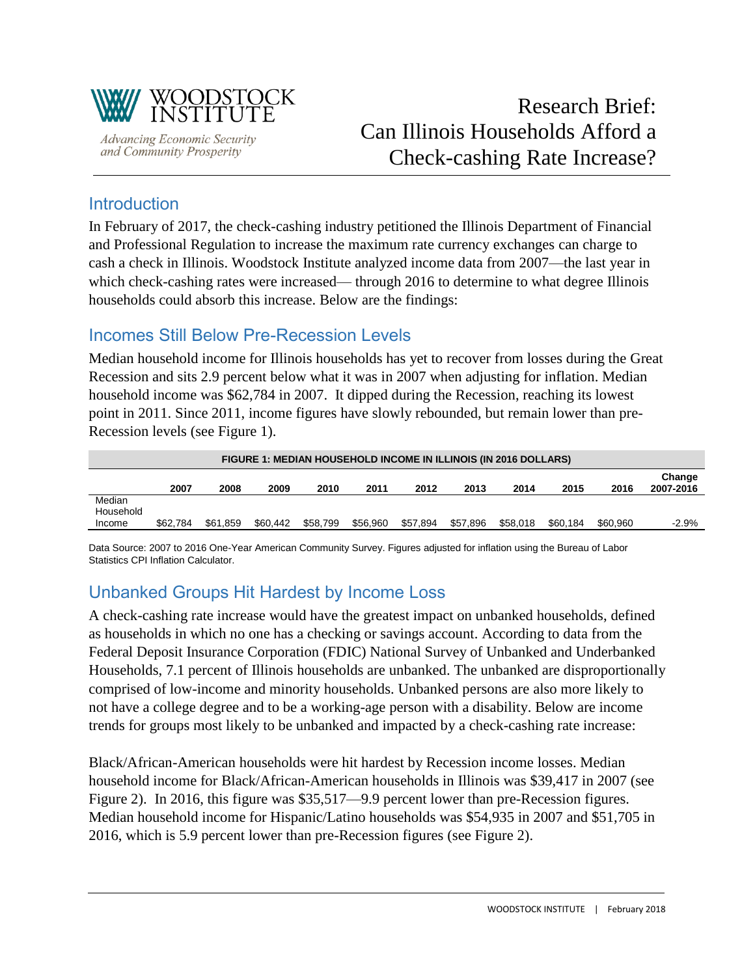

**Advancing Economic Security** and Community Prosperity

## Introduction

In February of 2017, the check-cashing industry petitioned the Illinois Department of Financial and Professional Regulation to increase the maximum rate currency exchanges can charge to cash a check in Illinois. Woodstock Institute analyzed income data from 2007—the last year in which check-cashing rates were increased— through 2016 to determine to what degree Illinois households could absorb this increase. Below are the findings:

## Incomes Still Below Pre-Recession Levels

Median household income for Illinois households has yet to recover from losses during the Great Recession and sits 2.9 percent below what it was in 2007 when adjusting for inflation. Median household income was \$62,784 in 2007. It dipped during the Recession, reaching its lowest point in 2011. Since 2011, income figures have slowly rebounded, but remain lower than pre-Recession levels (see Figure 1).

|                               | <b>FIGURE 1: MEDIAN HOUSEHOLD INCOME IN ILLINOIS (IN 2016 DOLLARS)</b> |          |          |          |          |          |          |          |          |          |                     |
|-------------------------------|------------------------------------------------------------------------|----------|----------|----------|----------|----------|----------|----------|----------|----------|---------------------|
|                               | 2007                                                                   | 2008     | 2009     | 2010     | 2011     | 2012     | 2013     | 2014     | 2015     | 2016     | Change<br>2007-2016 |
| Median<br>Household<br>Income | \$62,784                                                               | \$61.859 | \$60,442 | \$58,799 | \$56.960 | \$57.894 | \$57.896 | \$58,018 | \$60.184 | \$60,960 | $-2.9\%$            |

Data Source: 2007 to 2016 One-Year American Community Survey. Figures adjusted for inflation using the Bureau of Labor Statistics CPI Inflation Calculator.

## Unbanked Groups Hit Hardest by Income Loss

A check-cashing rate increase would have the greatest impact on unbanked households, defined as households in which no one has a checking or savings account. According to data from the Federal Deposit Insurance Corporation (FDIC) National Survey of Unbanked and Underbanked Households, 7.1 percent of Illinois households are unbanked. The unbanked are disproportionally comprised of low-income and minority households. Unbanked persons are also more likely to not have a college degree and to be a working-age person with a disability. Below are income trends for groups most likely to be unbanked and impacted by a check-cashing rate increase:

Black/African-American households were hit hardest by Recession income losses. Median household income for Black/African-American households in Illinois was \$39,417 in 2007 (see Figure 2). In 2016, this figure was \$35,517—9.9 percent lower than pre-Recession figures. Median household income for Hispanic/Latino households was \$54,935 in 2007 and \$51,705 in 2016, which is 5.9 percent lower than pre-Recession figures (see Figure 2).